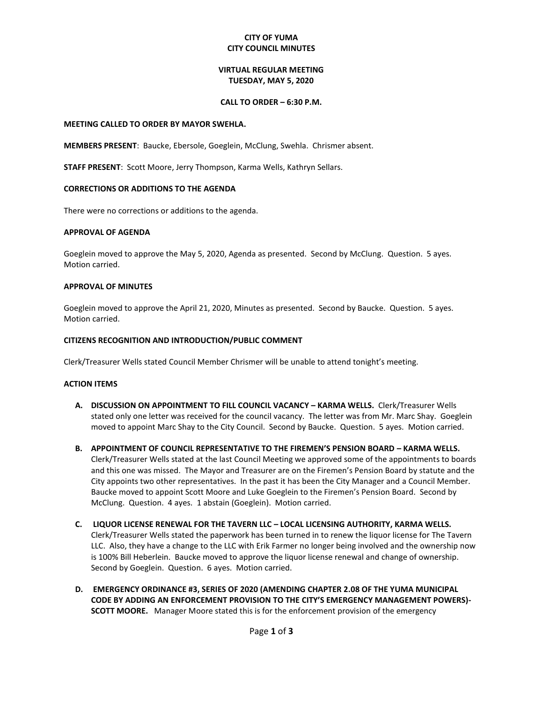# **CITY OF YUMA CITY COUNCIL MINUTES**

# **VIRTUAL REGULAR MEETING TUESDAY, MAY 5, 2020**

### **CALL TO ORDER – 6:30 P.M.**

#### **MEETING CALLED TO ORDER BY MAYOR SWEHLA.**

**MEMBERS PRESENT**: Baucke, Ebersole, Goeglein, McClung, Swehla. Chrismer absent.

**STAFF PRESENT**: Scott Moore, Jerry Thompson, Karma Wells, Kathryn Sellars.

### **CORRECTIONS OR ADDITIONS TO THE AGENDA**

There were no corrections or additions to the agenda.

### **APPROVAL OF AGENDA**

Goeglein moved to approve the May 5, 2020, Agenda as presented. Second by McClung. Question. 5 ayes. Motion carried.

### **APPROVAL OF MINUTES**

Goeglein moved to approve the April 21, 2020, Minutes as presented. Second by Baucke. Question. 5 ayes. Motion carried.

### **CITIZENS RECOGNITION AND INTRODUCTION/PUBLIC COMMENT**

Clerk/Treasurer Wells stated Council Member Chrismer will be unable to attend tonight's meeting.

#### **ACTION ITEMS**

- **A. DISCUSSION ON APPOINTMENT TO FILL COUNCIL VACANCY – KARMA WELLS.** Clerk/Treasurer Wells stated only one letter was received for the council vacancy. The letter was from Mr. Marc Shay. Goeglein moved to appoint Marc Shay to the City Council. Second by Baucke. Question. 5 ayes. Motion carried.
- **B. APPOINTMENT OF COUNCIL REPRESENTATIVE TO THE FIREMEN'S PENSION BOARD – KARMA WELLS.** Clerk/Treasurer Wells stated at the last Council Meeting we approved some of the appointments to boards and this one was missed. The Mayor and Treasurer are on the Firemen's Pension Board by statute and the City appoints two other representatives. In the past it has been the City Manager and a Council Member. Baucke moved to appoint Scott Moore and Luke Goeglein to the Firemen's Pension Board. Second by McClung. Question. 4 ayes. 1 abstain (Goeglein). Motion carried.
- **C. LIQUOR LICENSE RENEWAL FOR THE TAVERN LLC – LOCAL LICENSING AUTHORITY, KARMA WELLS.**  Clerk/Treasurer Wells stated the paperwork has been turned in to renew the liquor license for The Tavern LLC. Also, they have a change to the LLC with Erik Farmer no longer being involved and the ownership now is 100% Bill Heberlein. Baucke moved to approve the liquor license renewal and change of ownership. Second by Goeglein. Question. 6 ayes. Motion carried.
- **D. EMERGENCY ORDINANCE #3, SERIES OF 2020 (AMENDING CHAPTER 2.08 OF THE YUMA MUNICIPAL CODE BY ADDING AN ENFORCEMENT PROVISION TO THE CITY'S EMERGENCY MANAGEMENT POWERS)- SCOTT MOORE.** Manager Moore stated this is for the enforcement provision of the emergency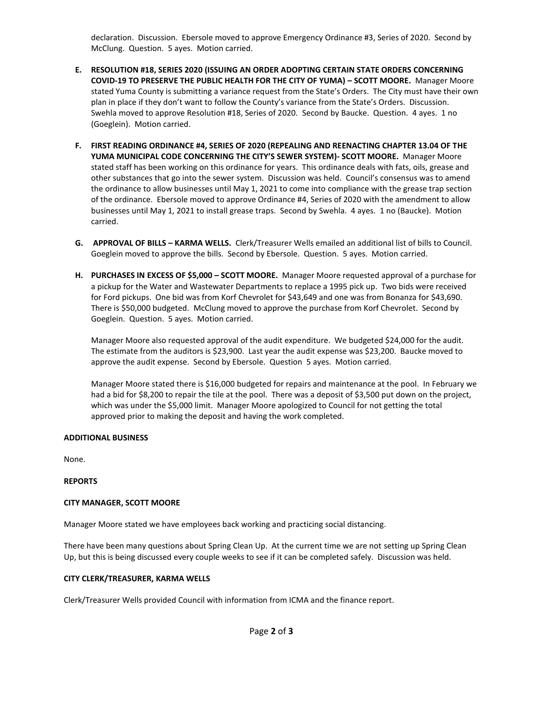declaration. Discussion. Ebersole moved to approve Emergency Ordinance #3, Series of 2020. Second by McClung. Question. 5 ayes. Motion carried.

- **E. RESOLUTION #18, SERIES 2020 (ISSUING AN ORDER ADOPTING CERTAIN STATE ORDERS CONCERNING COVID-19 TO PRESERVE THE PUBLIC HEALTH FOR THE CITY OF YUMA) – SCOTT MOORE.** Manager Moore stated Yuma County is submitting a variance request from the State's Orders. The City must have their own plan in place if they don't want to follow the County's variance from the State's Orders. Discussion. Swehla moved to approve Resolution #18, Series of 2020. Second by Baucke. Question. 4 ayes. 1 no (Goeglein). Motion carried.
- **F. FIRST READING ORDINANCE #4, SERIES OF 2020 (REPEALING AND REENACTING CHAPTER 13.04 OF THE YUMA MUNICIPAL CODE CONCERNING THE CITY'S SEWER SYSTEM)- SCOTT MOORE.** Manager Moore stated staff has been working on this ordinance for years. This ordinance deals with fats, oils, grease and other substances that go into the sewer system. Discussion was held. Council's consensus was to amend the ordinance to allow businesses until May 1, 2021 to come into compliance with the grease trap section of the ordinance. Ebersole moved to approve Ordinance #4, Series of 2020 with the amendment to allow businesses until May 1, 2021 to install grease traps. Second by Swehla. 4 ayes. 1 no (Baucke). Motion carried.
- **G. APPROVAL OF BILLS – KARMA WELLS.** Clerk/Treasurer Wells emailed an additional list of bills to Council. Goeglein moved to approve the bills. Second by Ebersole. Question. 5 ayes. Motion carried.
- **H. PURCHASES IN EXCESS OF \$5,000 – SCOTT MOORE.** Manager Moore requested approval of a purchase for a pickup for the Water and Wastewater Departments to replace a 1995 pick up. Two bids were received for Ford pickups. One bid was from Korf Chevrolet for \$43,649 and one was from Bonanza for \$43,690. There is \$50,000 budgeted. McClung moved to approve the purchase from Korf Chevrolet. Second by Goeglein. Question. 5 ayes. Motion carried.

Manager Moore also requested approval of the audit expenditure. We budgeted \$24,000 for the audit. The estimate from the auditors is \$23,900. Last year the audit expense was \$23,200. Baucke moved to approve the audit expense. Second by Ebersole. Question 5 ayes. Motion carried.

Manager Moore stated there is \$16,000 budgeted for repairs and maintenance at the pool. In February we had a bid for \$8,200 to repair the tile at the pool. There was a deposit of \$3,500 put down on the project, which was under the \$5,000 limit. Manager Moore apologized to Council for not getting the total approved prior to making the deposit and having the work completed.

# **ADDITIONAL BUSINESS**

None.

# **REPORTS**

# **CITY MANAGER, SCOTT MOORE**

Manager Moore stated we have employees back working and practicing social distancing.

There have been many questions about Spring Clean Up. At the current time we are not setting up Spring Clean Up, but this is being discussed every couple weeks to see if it can be completed safely. Discussion was held.

# **CITY CLERK/TREASURER, KARMA WELLS**

Clerk/Treasurer Wells provided Council with information from ICMA and the finance report.